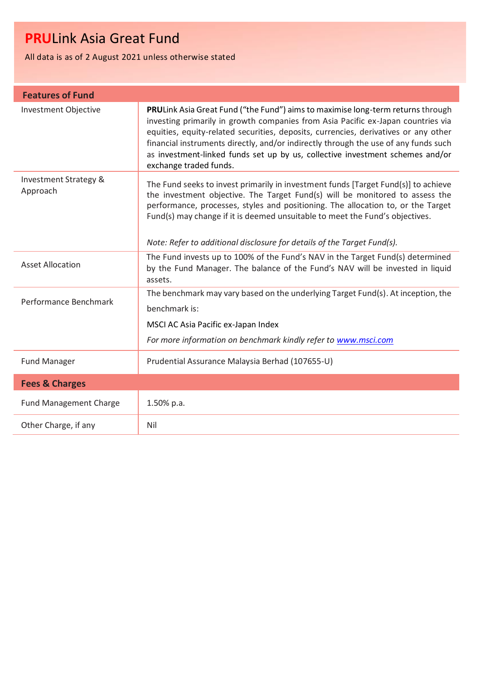All data is as of 2 August 2021 unless otherwise stated

| <b>Features of Fund</b>           |                                                                                                                                                                                                                                                                                                                                                                                                                                                              |
|-----------------------------------|--------------------------------------------------------------------------------------------------------------------------------------------------------------------------------------------------------------------------------------------------------------------------------------------------------------------------------------------------------------------------------------------------------------------------------------------------------------|
| <b>Investment Objective</b>       | PRULink Asia Great Fund ("the Fund") aims to maximise long-term returns through<br>investing primarily in growth companies from Asia Pacific ex-Japan countries via<br>equities, equity-related securities, deposits, currencies, derivatives or any other<br>financial instruments directly, and/or indirectly through the use of any funds such<br>as investment-linked funds set up by us, collective investment schemes and/or<br>exchange traded funds. |
| Investment Strategy &<br>Approach | The Fund seeks to invest primarily in investment funds [Target Fund(s)] to achieve<br>the investment objective. The Target Fund(s) will be monitored to assess the<br>performance, processes, styles and positioning. The allocation to, or the Target<br>Fund(s) may change if it is deemed unsuitable to meet the Fund's objectives.<br>Note: Refer to additional disclosure for details of the Target Fund(s).                                            |
| <b>Asset Allocation</b>           | The Fund invests up to 100% of the Fund's NAV in the Target Fund(s) determined<br>by the Fund Manager. The balance of the Fund's NAV will be invested in liquid<br>assets.                                                                                                                                                                                                                                                                                   |
| Performance Benchmark             | The benchmark may vary based on the underlying Target Fund(s). At inception, the<br>benchmark is:<br>MSCI AC Asia Pacific ex-Japan Index<br>For more information on benchmark kindly refer to www.msci.com                                                                                                                                                                                                                                                   |
| <b>Fund Manager</b>               | Prudential Assurance Malaysia Berhad (107655-U)                                                                                                                                                                                                                                                                                                                                                                                                              |
| <b>Fees &amp; Charges</b>         |                                                                                                                                                                                                                                                                                                                                                                                                                                                              |
| <b>Fund Management Charge</b>     | 1.50% p.a.                                                                                                                                                                                                                                                                                                                                                                                                                                                   |
| Other Charge, if any              | Nil                                                                                                                                                                                                                                                                                                                                                                                                                                                          |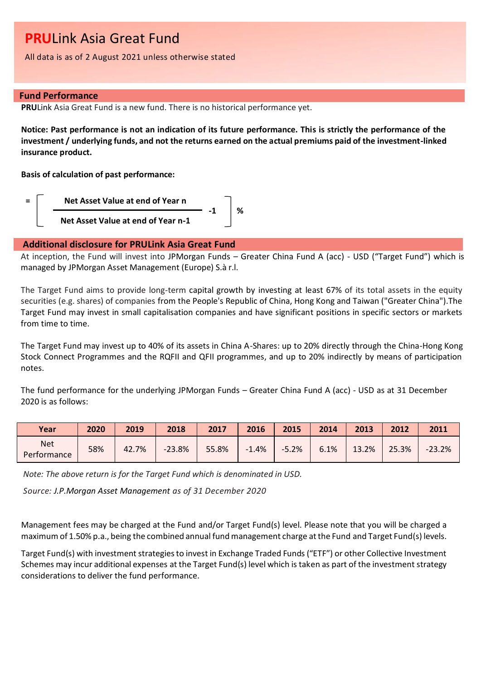All data is as of 2 August 2021 unless otherwise stated

### **Fund Performance**

**PRU**Link Asia Great Fund is a new fund. There is no historical performance yet.

**Notice: Past performance is not an indication of its future performance. This is strictly the performance of the investment / underlying funds, and not the returns earned on the actual premiums paid of the investment-linked insurance product.**

**Basis of calculation of past performance:**



## **Additional disclosure for PRULink Asia Great Fund**

At inception, the Fund will invest into JPMorgan Funds – Greater China Fund A (acc) - USD ("Target Fund") which is managed by JPMorgan Asset Management (Europe) S.à r.l.

The Target Fund aims to provide long-term capital growth by investing at least 67% of its total assets in the equity securities (e.g. shares) of companies from the People's Republic of China, Hong Kong and Taiwan ("Greater China").The Target Fund may invest in small capitalisation companies and have significant positions in specific sectors or markets from time to time.

The Target Fund may invest up to 40% of its assets in China A-Shares: up to 20% directly through the China-Hong Kong Stock Connect Programmes and the RQFII and QFII programmes, and up to 20% indirectly by means of participation notes.

The fund performance for the underlying JPMorgan Funds – Greater China Fund A (acc) - USD as at 31 December 2020 is as follows:

| Year                      | 2020 | 2019  | 2018     | 2017  | 2016    | 2015    | 2014 | 2013  | 2012  | 2011     |
|---------------------------|------|-------|----------|-------|---------|---------|------|-------|-------|----------|
| <b>Net</b><br>Performance | 58%  | 42.7% | $-23.8%$ | 55.8% | $-1.4%$ | $-5.2%$ | 6.1% | 13.2% | 25.3% | $-23.2%$ |

 *Note: The above return is for the Target Fund which is denominated in USD.*

*Source: J.P.Morgan Asset Management as of 31 December 2020*

Management fees may be charged at the Fund and/or Target Fund(s) level. Please note that you will be charged a maximum of 1.50% p.a., being the combined annual fund management charge at the Fund and Target Fund(s) levels.

Target Fund(s) with investment strategies to invest in Exchange Traded Funds ("ETF") or other Collective Investment Schemes may incur additional expenses at the Target Fund(s) level which is taken as part of the investment strategy considerations to deliver the fund performance.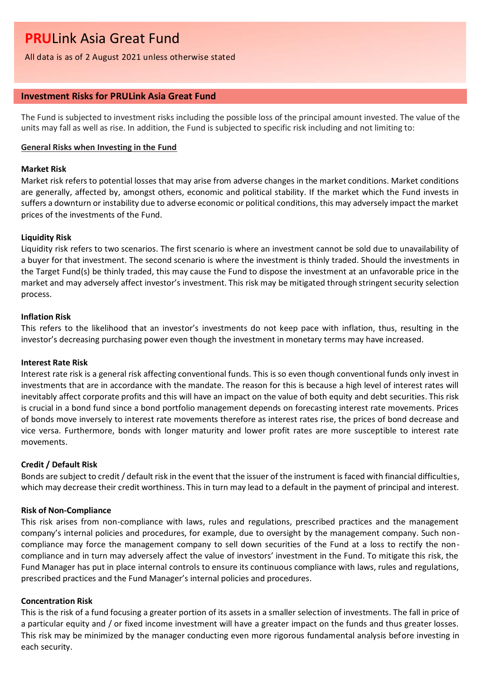All data is as of 2 August 2021 unless otherwise stated

## **Investment Risks for PRULink Asia Great Fund**

The Fund is subjected to investment risks including the possible loss of the principal amount invested. The value of the units may fall as well as rise. In addition, the Fund is subjected to specific risk including and not limiting to:

### **General Risks when Investing in the Fund**

## **Market Risk**

Market risk refers to potential losses that may arise from adverse changes in the market conditions. Market conditions are generally, affected by, amongst others, economic and political stability. If the market which the Fund invests in suffers a downturn or instability due to adverse economic or political conditions, this may adversely impact the market prices of the investments of the Fund.

## **Liquidity Risk**

Liquidity risk refers to two scenarios. The first scenario is where an investment cannot be sold due to unavailability of a buyer for that investment. The second scenario is where the investment is thinly traded. Should the investments in the Target Fund(s) be thinly traded, this may cause the Fund to dispose the investment at an unfavorable price in the market and may adversely affect investor's investment. This risk may be mitigated through stringent security selection process.

## **Inflation Risk**

This refers to the likelihood that an investor's investments do not keep pace with inflation, thus, resulting in the investor's decreasing purchasing power even though the investment in monetary terms may have increased.

#### **Interest Rate Risk**

Interest rate risk is a general risk affecting conventional funds. This is so even though conventional funds only invest in investments that are in accordance with the mandate. The reason for this is because a high level of interest rates will inevitably affect corporate profits and this will have an impact on the value of both equity and debt securities. This risk is crucial in a bond fund since a bond portfolio management depends on forecasting interest rate movements. Prices of bonds move inversely to interest rate movements therefore as interest rates rise, the prices of bond decrease and vice versa. Furthermore, bonds with longer maturity and lower profit rates are more susceptible to interest rate movements.

## **Credit / Default Risk**

Bonds are subject to credit / default risk in the event that the issuer of the instrument is faced with financial difficulties, which may decrease their credit worthiness. This in turn may lead to a default in the payment of principal and interest.

## **Risk of Non-Compliance**

This risk arises from non-compliance with laws, rules and regulations, prescribed practices and the management company's internal policies and procedures, for example, due to oversight by the management company. Such noncompliance may force the management company to sell down securities of the Fund at a loss to rectify the noncompliance and in turn may adversely affect the value of investors' investment in the Fund. To mitigate this risk, the Fund Manager has put in place internal controls to ensure its continuous compliance with laws, rules and regulations, prescribed practices and the Fund Manager's internal policies and procedures.

## **Concentration Risk**

This is the risk of a fund focusing a greater portion of its assets in a smaller selection of investments. The fall in price of a particular equity and / or fixed income investment will have a greater impact on the funds and thus greater losses. This risk may be minimized by the manager conducting even more rigorous fundamental analysis before investing in each security.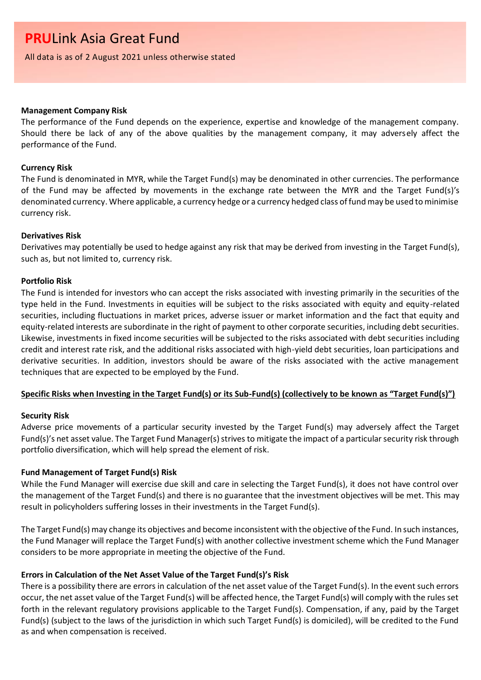All data is as of 2 August 2021 unless otherwise stated

#### **Management Company Risk**

The performance of the Fund depends on the experience, expertise and knowledge of the management company. Should there be lack of any of the above qualities by the management company, it may adversely affect the performance of the Fund.

#### **Currency Risk**

The Fund is denominated in MYR, while the Target Fund(s) may be denominated in other currencies. The performance of the Fund may be affected by movements in the exchange rate between the MYR and the Target Fund(s)'s denominated currency. Where applicable, a currency hedge or a currency hedged class of fund may be used to minimise currency risk.

#### **Derivatives Risk**

Derivatives may potentially be used to hedge against any risk that may be derived from investing in the Target Fund(s), such as, but not limited to, currency risk.

#### **Portfolio Risk**

The Fund is intended for investors who can accept the risks associated with investing primarily in the securities of the type held in the Fund. Investments in equities will be subject to the risks associated with equity and equity-related securities, including fluctuations in market prices, adverse issuer or market information and the fact that equity and equity-related interests are subordinate in the right of payment to other corporate securities, including debt securities. Likewise, investments in fixed income securities will be subjected to the risks associated with debt securities including credit and interest rate risk, and the additional risks associated with high-yield debt securities, loan participations and derivative securities. In addition, investors should be aware of the risks associated with the active management techniques that are expected to be employed by the Fund.

## **Specific Risks when Investing in the Target Fund(s) or its Sub-Fund(s) (collectively to be known as "Target Fund(s)")**

#### **Security Risk**

Adverse price movements of a particular security invested by the Target Fund(s) may adversely affect the Target Fund(s)'s net asset value. The Target Fund Manager(s) strives to mitigate the impact of a particular security risk through portfolio diversification, which will help spread the element of risk.

## **Fund Management of Target Fund(s) Risk**

While the Fund Manager will exercise due skill and care in selecting the Target Fund(s), it does not have control over the management of the Target Fund(s) and there is no guarantee that the investment objectives will be met. This may result in policyholders suffering losses in their investments in the Target Fund(s).

The Target Fund(s) may change its objectives and become inconsistent with the objective of the Fund. In such instances, the Fund Manager will replace the Target Fund(s) with another collective investment scheme which the Fund Manager considers to be more appropriate in meeting the objective of the Fund.

## **Errors in Calculation of the Net Asset Value of the Target Fund(s)'s Risk**

There is a possibility there are errors in calculation of the net asset value of the Target Fund(s). In the event such errors occur, the net asset value of the Target Fund(s) will be affected hence, the Target Fund(s) will comply with the rules set forth in the relevant regulatory provisions applicable to the Target Fund(s). Compensation, if any, paid by the Target Fund(s) (subject to the laws of the jurisdiction in which such Target Fund(s) is domiciled), will be credited to the Fund as and when compensation is received.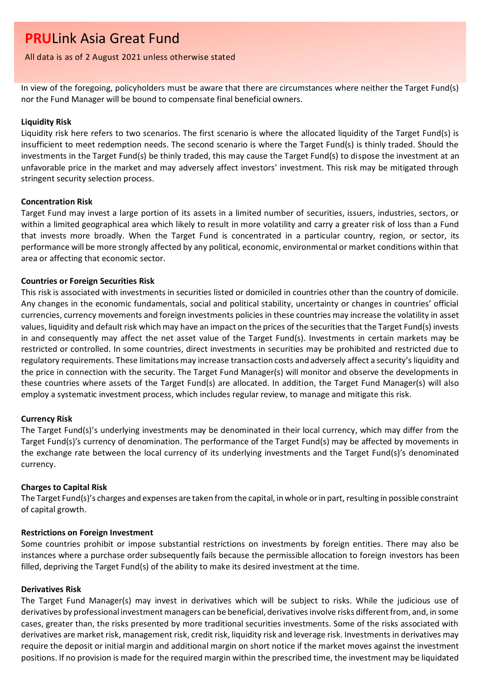#### All data is as of 2 August 2021 unless otherwise stated

In view of the foregoing, policyholders must be aware that there are circumstances where neither the Target Fund(s) nor the Fund Manager will be bound to compensate final beneficial owners.

#### **Liquidity Risk**

Liquidity risk here refers to two scenarios. The first scenario is where the allocated liquidity of the Target Fund(s) is insufficient to meet redemption needs. The second scenario is where the Target Fund(s) is thinly traded. Should the investments in the Target Fund(s) be thinly traded, this may cause the Target Fund(s) to dispose the investment at an unfavorable price in the market and may adversely affect investors' investment. This risk may be mitigated through stringent security selection process.

### **Concentration Risk**

Target Fund may invest a large portion of its assets in a limited number of securities, issuers, industries, sectors, or within a limited geographical area which likely to result in more volatility and carry a greater risk of loss than a Fund that invests more broadly. When the Target Fund is concentrated in a particular country, region, or sector, its performance will be more strongly affected by any political, economic, environmental or market conditions within that area or affecting that economic sector.

#### **Countries or Foreign Securities Risk**

This risk is associated with investments in securities listed or domiciled in countries other than the country of domicile. Any changes in the economic fundamentals, social and political stability, uncertainty or changes in countries' official currencies, currency movements and foreign investments policies in these countries may increase the volatility in asset values, liquidity and default risk which may have an impact on the prices of the securities that the Target Fund(s) invests in and consequently may affect the net asset value of the Target Fund(s). Investments in certain markets may be restricted or controlled. In some countries, direct investments in securities may be prohibited and restricted due to regulatory requirements. These limitations may increase transaction costs and adversely affect a security's liquidity and the price in connection with the security. The Target Fund Manager(s) will monitor and observe the developments in these countries where assets of the Target Fund(s) are allocated. In addition, the Target Fund Manager(s) will also employ a systematic investment process, which includes regular review, to manage and mitigate this risk.

## **Currency Risk**

The Target Fund(s)'s underlying investments may be denominated in their local currency, which may differ from the Target Fund(s)'s currency of denomination. The performance of the Target Fund(s) may be affected by movements in the exchange rate between the local currency of its underlying investments and the Target Fund(s)'s denominated currency.

## **Charges to Capital Risk**

The Target Fund(s)'s charges and expenses are taken from the capital, in whole or in part, resulting in possible constraint of capital growth.

## **Restrictions on Foreign Investment**

Some countries prohibit or impose substantial restrictions on investments by foreign entities. There may also be instances where a purchase order subsequently fails because the permissible allocation to foreign investors has been filled, depriving the Target Fund(s) of the ability to make its desired investment at the time.

### **Derivatives Risk**

The Target Fund Manager(s) may invest in derivatives which will be subject to risks. While the judicious use of derivatives by professional investment managers can be beneficial, derivatives involve risks different from, and, in some cases, greater than, the risks presented by more traditional securities investments. Some of the risks associated with derivatives are market risk, management risk, credit risk, liquidity risk and leverage risk. Investments in derivatives may require the deposit or initial margin and additional margin on short notice if the market moves against the investment positions. If no provision is made for the required margin within the prescribed time, the investment may be liquidated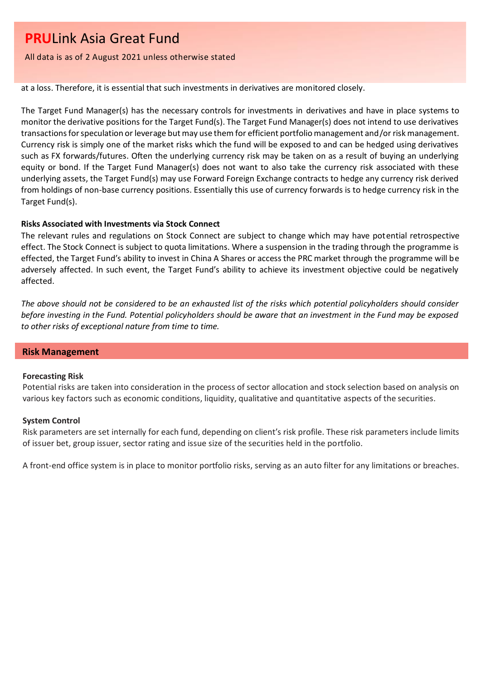All data is as of 2 August 2021 unless otherwise stated

at a loss. Therefore, it is essential that such investments in derivatives are monitored closely.

The Target Fund Manager(s) has the necessary controls for investments in derivatives and have in place systems to monitor the derivative positions for the Target Fund(s). The Target Fund Manager(s) does not intend to use derivatives transactions for speculation or leverage but may use them for efficient portfolio management and/or risk management. Currency risk is simply one of the market risks which the fund will be exposed to and can be hedged using derivatives such as FX forwards/futures. Often the underlying currency risk may be taken on as a result of buying an underlying equity or bond. If the Target Fund Manager(s) does not want to also take the currency risk associated with these underlying assets, the Target Fund(s) may use Forward Foreign Exchange contracts to hedge any currency risk derived from holdings of non-base currency positions. Essentially this use of currency forwards is to hedge currency risk in the Target Fund(s).

## **Risks Associated with Investments via Stock Connect**

The relevant rules and regulations on Stock Connect are subject to change which may have potential retrospective effect. The Stock Connect is subject to quota limitations. Where a suspension in the trading through the programme is effected, the Target Fund's ability to invest in China A Shares or access the PRC market through the programme will be adversely affected. In such event, the Target Fund's ability to achieve its investment objective could be negatively affected.

*The above should not be considered to be an exhausted list of the risks which potential policyholders should consider before investing in the Fund. Potential policyholders should be aware that an investment in the Fund may be exposed to other risks of exceptional nature from time to time.*

## **Risk Management**

#### **Forecasting Risk**

Potential risks are taken into consideration in the process of sector allocation and stock selection based on analysis on various key factors such as economic conditions, liquidity, qualitative and quantitative aspects of the securities.

#### **System Control**

Risk parameters are set internally for each fund, depending on client's risk profile. These risk parameters include limits of issuer bet, group issuer, sector rating and issue size of the securities held in the portfolio.

A front-end office system is in place to monitor portfolio risks, serving as an auto filter for any limitations or breaches.